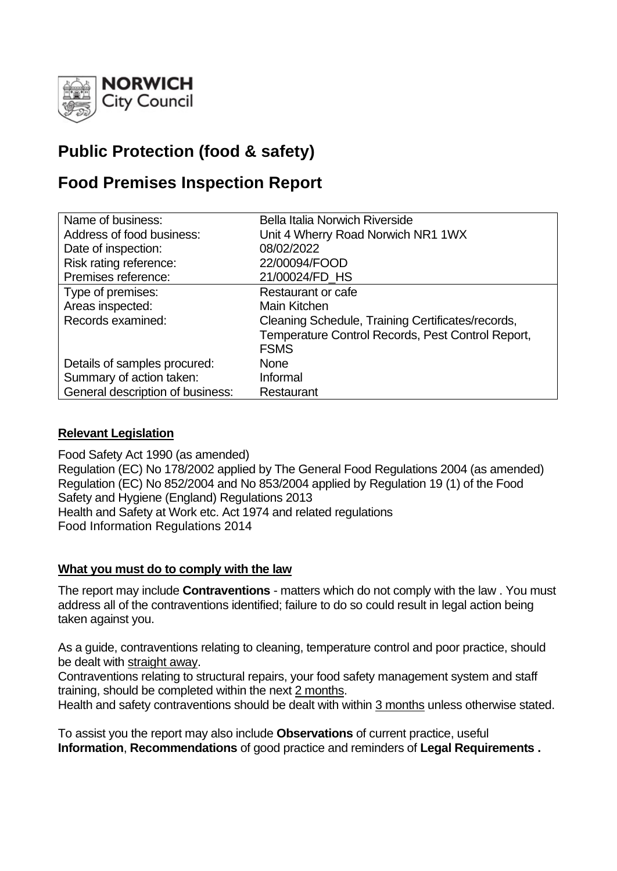

# **Public Protection (food & safety)**

# **Food Premises Inspection Report**

| Name of business:                | Bella Italia Norwich Riverside                    |
|----------------------------------|---------------------------------------------------|
| Address of food business:        | Unit 4 Wherry Road Norwich NR1 1WX                |
| Date of inspection:              | 08/02/2022                                        |
| Risk rating reference:           | 22/00094/FOOD                                     |
| Premises reference:              | 21/00024/FD_HS                                    |
| Type of premises:                | Restaurant or cafe                                |
| Areas inspected:                 | Main Kitchen                                      |
| Records examined:                | Cleaning Schedule, Training Certificates/records, |
|                                  | Temperature Control Records, Pest Control Report, |
|                                  | <b>FSMS</b>                                       |
| Details of samples procured:     | <b>None</b>                                       |
| Summary of action taken:         | Informal                                          |
| General description of business: | Restaurant                                        |

## **Relevant Legislation**

Food Safety Act 1990 (as amended) Regulation (EC) No 178/2002 applied by The General Food Regulations 2004 (as amended) Regulation (EC) No 852/2004 and No 853/2004 applied by Regulation 19 (1) of the Food Safety and Hygiene (England) Regulations 2013 Health and Safety at Work etc. Act 1974 and related regulations Food Information Regulations 2014

## **What you must do to comply with the law**

The report may include **Contraventions** - matters which do not comply with the law . You must address all of the contraventions identified; failure to do so could result in legal action being taken against you.

As a guide, contraventions relating to cleaning, temperature control and poor practice, should be dealt with straight away.

Contraventions relating to structural repairs, your food safety management system and staff training, should be completed within the next 2 months.

Health and safety contraventions should be dealt with within 3 months unless otherwise stated.

To assist you the report may also include **Observations** of current practice, useful **Information**, **Recommendations** of good practice and reminders of **Legal Requirements .**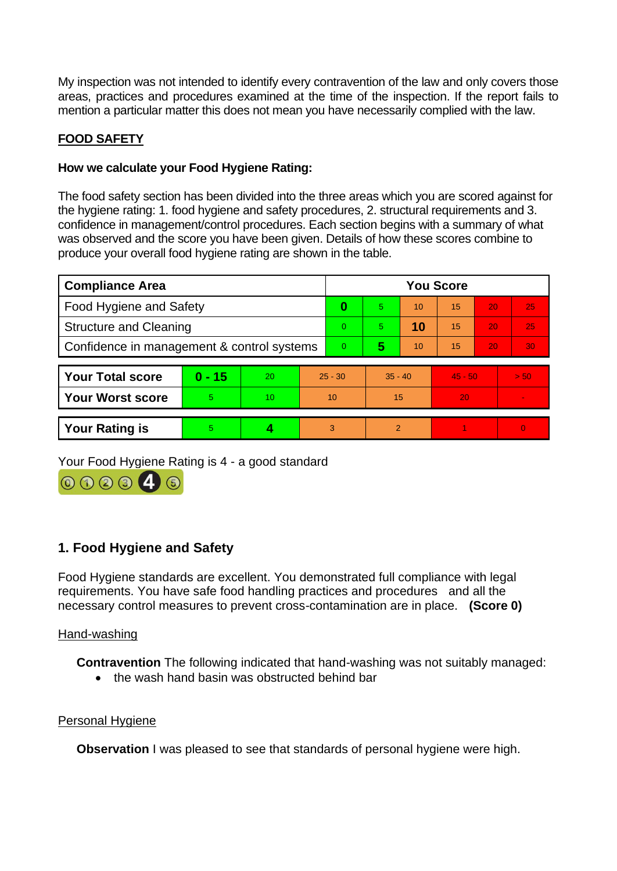My inspection was not intended to identify every contravention of the law and only covers those areas, practices and procedures examined at the time of the inspection. If the report fails to mention a particular matter this does not mean you have necessarily complied with the law.

## **FOOD SAFETY**

### **How we calculate your Food Hygiene Rating:**

The food safety section has been divided into the three areas which you are scored against for the hygiene rating: 1. food hygiene and safety procedures, 2. structural requirements and 3. confidence in management/control procedures. Each section begins with a summary of what was observed and the score you have been given. Details of how these scores combine to produce your overall food hygiene rating are shown in the table.

| <b>Compliance Area</b>                     |          |           |                | <b>You Score</b> |           |    |           |                 |                |  |
|--------------------------------------------|----------|-----------|----------------|------------------|-----------|----|-----------|-----------------|----------------|--|
| Food Hygiene and Safety                    |          |           | 0              | 5.               | 10        | 15 | 20        | 25              |                |  |
| <b>Structure and Cleaning</b>              |          |           | $\Omega$       | 5.               | 10        | 15 | 20        | 25              |                |  |
| Confidence in management & control systems |          |           | $\overline{0}$ | 5                | 10        | 15 | 20        | 30 <sub>1</sub> |                |  |
|                                            |          |           |                |                  |           |    |           |                 |                |  |
| <b>Your Total score</b>                    | $0 - 15$ | <b>20</b> | $25 - 30$      |                  | $35 - 40$ |    | $45 - 50$ |                 | > 50           |  |
| <b>Your Worst score</b>                    | 5        | 10        | 10             |                  | 15        |    | 20        |                 | $\sim$         |  |
|                                            |          |           |                |                  |           |    |           |                 |                |  |
| <b>Your Rating is</b>                      | 5        |           |                | 3                | 2         |    |           |                 | $\overline{0}$ |  |

Your Food Hygiene Rating is 4 - a good standard



# **1. Food Hygiene and Safety**

Food Hygiene standards are excellent. You demonstrated full compliance with legal requirements. You have safe food handling practices and procedures and all the necessary control measures to prevent cross-contamination are in place. **(Score 0)**

#### Hand-washing

**Contravention** The following indicated that hand-washing was not suitably managed:

• the wash hand basin was obstructed behind bar

#### Personal Hygiene

**Observation** I was pleased to see that standards of personal hygiene were high.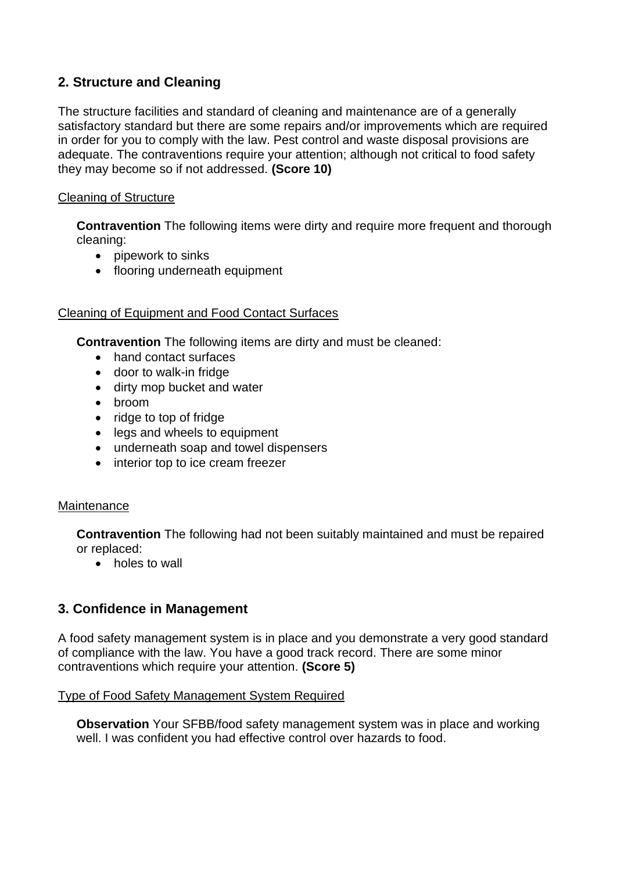# **2. Structure and Cleaning**

The structure facilities and standard of cleaning and maintenance are of a generally satisfactory standard but there are some repairs and/or improvements which are required in order for you to comply with the law. Pest control and waste disposal provisions are adequate. The contraventions require your attention; although not critical to food safety they may become so if not addressed. **(Score 10)**

### Cleaning of Structure

**Contravention** The following items were dirty and require more frequent and thorough cleaning:

- pipework to sinks
- flooring underneath equipment

### Cleaning of Equipment and Food Contact Surfaces

**Contravention** The following items are dirty and must be cleaned:

- hand contact surfaces
- door to walk-in fridge
- dirty mop bucket and water
- broom
- ridge to top of fridge
- legs and wheels to equipment
- underneath soap and towel dispensers
- interior top to ice cream freezer

#### **Maintenance**

**Contravention** The following had not been suitably maintained and must be repaired or replaced:

• holes to wall

## **3. Confidence in Management**

A food safety management system is in place and you demonstrate a very good standard of compliance with the law. You have a good track record. There are some minor contraventions which require your attention. **(Score 5)**

#### Type of Food Safety Management System Required

**Observation** Your SFBB/food safety management system was in place and working well. I was confident you had effective control over hazards to food.